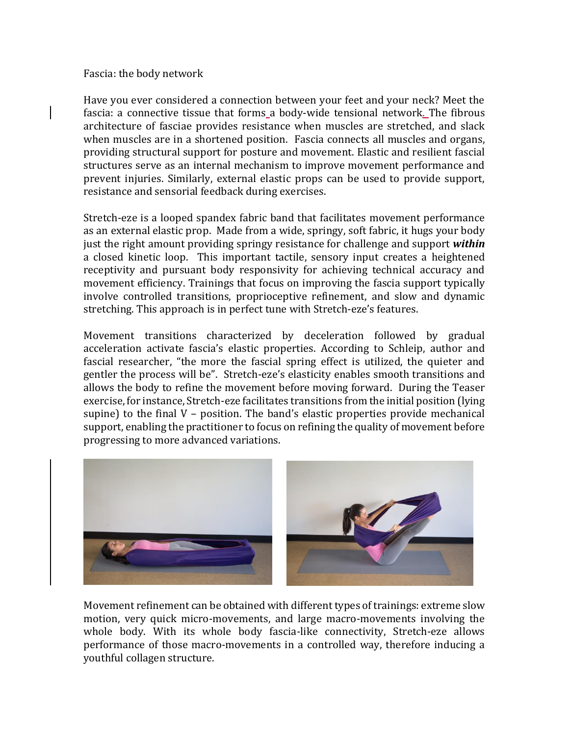## Fascia: the body network

Have you ever considered a connection between your feet and your neck? Meet the fascia: a connective tissue that forms a body-wide tensional network. The fibrous architecture of fasciae provides resistance when muscles are stretched, and slack when muscles are in a shortened position. Fascia connects all muscles and organs, providing structural support for posture and movement. Elastic and resilient fascial structures serve as an internal mechanism to improve movement performance and prevent injuries. Similarly, external elastic props can be used to provide support, resistance and sensorial feedback during exercises.

Stretch-eze is a looped spandex fabric band that facilitates movement performance as an external elastic prop. Made from a wide, springy, soft fabric, it hugs your body just the right amount providing springy resistance for challenge and support *within* a closed kinetic loop. This important tactile, sensory input creates a heightened receptivity and pursuant body responsivity for achieving technical accuracy and movement efficiency. Trainings that focus on improving the fascia support typically involve controlled transitions, proprioceptive refinement, and slow and dynamic stretching. This approach is in perfect tune with Stretch-eze's features.

Movement transitions characterized by deceleration followed by gradual acceleration activate fascia's elastic properties. According to Schleip, author and fascial researcher, "the more the fascial spring effect is utilized, the quieter and gentler the process will be". Stretch-eze's elasticity enables smooth transitions and allows the body to refine the movement before moving forward. During the Teaser exercise, for instance, Stretch-eze facilitates transitions from the initial position (lying supine) to the final  $V$  – position. The band's elastic properties provide mechanical support, enabling the practitioner to focus on refining the quality of movement before progressing to more advanced variations.



Movement refinement can be obtained with different types of trainings: extreme slow motion, very quick micro-movements, and large macro-movements involving the whole body. With its whole body fascia-like connectivity, Stretch-eze allows performance of those macro-movements in a controlled way, therefore inducing a youthful collagen structure.